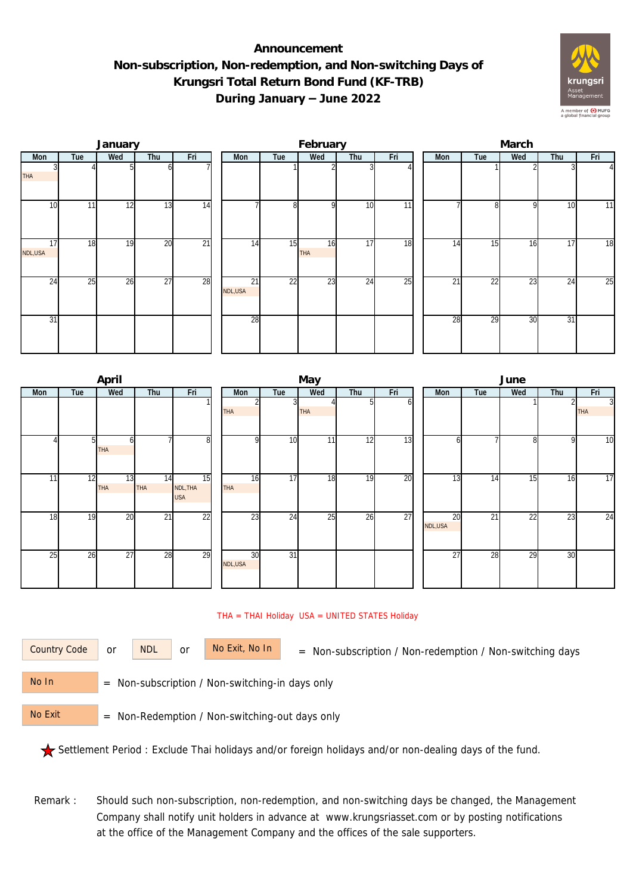## **Announcement Non-subscription, Non-redemption, and Non-switching Days of Krungsri Total Return Bond Fund (KF-TRB) During January – June 2022**



|               |     | January |                 |                 |                            |                 | February  |     |     | March           |                 |     |                 |                |  |  |
|---------------|-----|---------|-----------------|-----------------|----------------------------|-----------------|-----------|-----|-----|-----------------|-----------------|-----|-----------------|----------------|--|--|
| Mon           | Tue | Wed     | Thu             | Fri             | Mon                        | Tue             | Wed       | Thu | Fri | Mon             | Tue             | Wed | Thu             | Fri            |  |  |
| <b>THA</b>    |     |         |                 |                 |                            |                 |           |     |     |                 |                 |     |                 | $\overline{4}$ |  |  |
| 10            | 11  | 12      | 13              | 14              |                            | 8 <sup>1</sup>  | O         | 10  | 11  |                 | $\Omega$        | 9   | 10              | 11             |  |  |
| 17<br>NDL,USA | 18  | 19      | 20              | $\overline{21}$ | 14                         | 15              | 16<br>THA | 17  | 18  | 14              | 15              | 16  | $1\overline{7}$ | 18             |  |  |
| 24            | 25  | 26      | $\overline{27}$ | 28              | $\overline{21}$<br>NDL,USA | $\overline{22}$ | 23        | 24  | 25  | $\overline{21}$ | $\overline{22}$ | 23  | $2\overline{4}$ | 25             |  |  |
| 31            |     |         |                 |                 | 28                         |                 |           |     |     | 28              | 29              | 30  | 31              |                |  |  |

|                 |                | April            |                  |                              |                  |     | June       |    |     |  |                |                 |                 |     |                              |
|-----------------|----------------|------------------|------------------|------------------------------|------------------|-----|------------|----|-----|--|----------------|-----------------|-----------------|-----|------------------------------|
| Mon             | Tue            | Wed              | Thu              | Fri                          | Mon              | Tue | Wed<br>Thu |    | Fri |  | Mon            | Tue             | Wed             | Thu | Fri                          |
|                 |                |                  |                  |                              | THA              | 3   | <b>THA</b> | 5  | n   |  |                |                 |                 |     | $\overline{3}$<br><b>THA</b> |
|                 | 5 <sup>1</sup> | 61<br><b>THA</b> |                  | 8                            | οI               | 10  | 11         | 12 | 13  |  | h              |                 | 8               | 9   | 10                           |
| 11              | 12             | 13<br><b>THA</b> | 14<br><b>THA</b> | 15<br>NDL, THA<br><b>USA</b> | 16<br><b>THA</b> | 17  | 18         | 19 | 20  |  | 13             | 14              | 15              | 16  | 17                           |
| 18              | 19             | 20               | $\overline{21}$  | $\overline{22}$              | 23               | 24  | 25         | 26 | 27  |  | 20<br>NDL, USA | $\overline{21}$ | $\overline{22}$ | 23  | 24                           |
| $2\overline{5}$ | 26             | 27               | 28               | 29                           | 30<br>NDL,USA    | 31  |            |    |     |  | 27             | 28              | 29              | 30  |                              |

## THA = THAI Holiday USA = UNITED STATES Holiday

or NDL or

Country Code or NDL or No Exit, No In = Non-subscription / Non-redemption / Non-switching days

 = Non-subscription / Non-switching-in days only No In

 = Non-Redemption / Non-switching-out days only No Exit

Settlement Period : Exclude Thai holidays and/or foreign holidays and/or non-dealing days of the fund.

Remark : Should such non-subscription, non-redemption, and non-switching days be changed, the Management Company shall notify unit holders in advance at www.krungsriasset.com or by posting notifications at the office of the Management Company and the offices of the sale supporters.